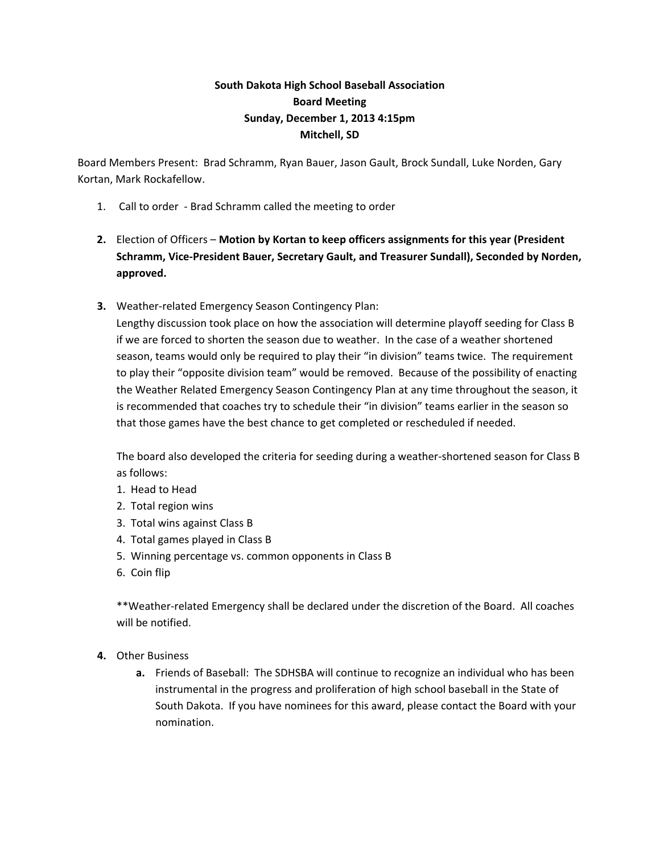## **South Dakota High School Baseball Association Board Meeting Sunday, December 1, 2013 4:15pm Mitchell, SD**

Board Members Present: Brad Schramm, Ryan Bauer, Jason Gault, Brock Sundall, Luke Norden, Gary Kortan, Mark Rockafellow.

- 1. Call to order Brad Schramm called the meeting to order
- **2.** Election of Officers **Motion by Kortan to keep officers assignments for this year (President Schramm, Vice‐President Bauer, Secretary Gault, and Treasurer Sundall), Seconded by Norden, approved.**
- **3.** Weather-related Emergency Season Contingency Plan:

Lengthy discussion took place on how the association will determine playoff seeding for Class B if we are forced to shorten the season due to weather. In the case of a weather shortened season, teams would only be required to play their "in division" teams twice. The requirement to play their "opposite division team" would be removed. Because of the possibility of enacting the Weather Related Emergency Season Contingency Plan at any time throughout the season, it is recommended that coaches try to schedule their "in division" teams earlier in the season so that those games have the best chance to get completed or rescheduled if needed.

The board also developed the criteria for seeding during a weather-shortened season for Class B as follows:

- 1. Head to Head
- 2. Total region wins
- 3. Total wins against Class B
- 4. Total games played in Class B
- 5. Winning percentage vs. common opponents in Class B
- 6. Coin flip

\*\*Weather‐related Emergency shall be declared under the discretion of the Board. All coaches will be notified.

- **4.** Other Business
	- **a.** Friends of Baseball: The SDHSBA will continue to recognize an individual who has been instrumental in the progress and proliferation of high school baseball in the State of South Dakota. If you have nominees for this award, please contact the Board with your nomination.